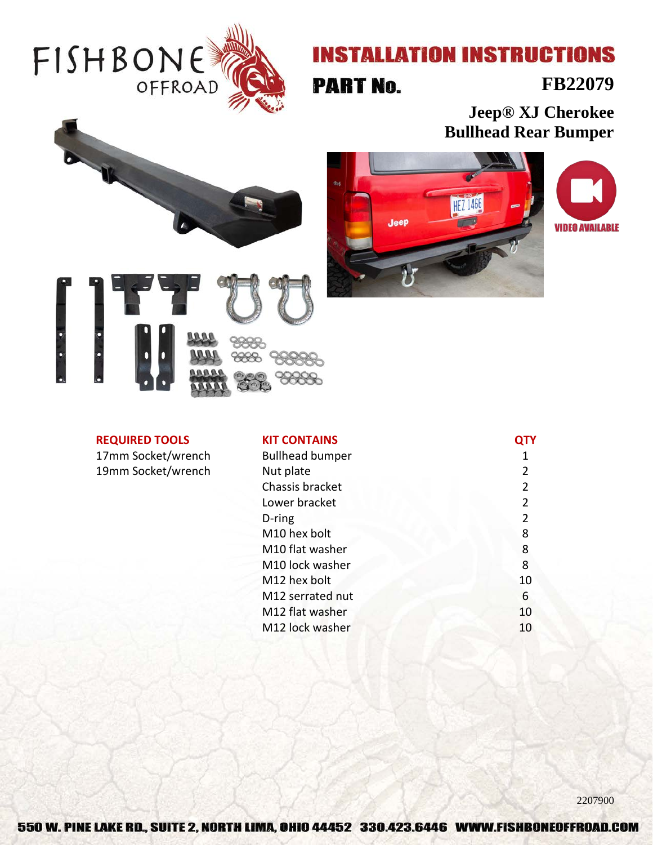

# **INSTALLATION INSTRUCTIONS**

**PART No.** 

### **FB22079**

**Jeep® XJ Cherokee Bullhead Rear Bumper**





#### **REQUIRED TOOLS**

17mm Socket/wrench 19mm Socket/wrench

| <b>KIT CONTAINS</b>    |                |
|------------------------|----------------|
| <b>Bullhead bumper</b> | 1              |
| Nut plate              | 2              |
| Chassis bracket        | $\overline{2}$ |
| Lower bracket          | $\overline{2}$ |
| D-ring                 | $\overline{2}$ |
| M10 hex bolt           | 8              |
| M10 flat washer        | 8              |
| M10 lock washer        | 8              |
| M12 hex bolt           | 10             |
| M12 serrated nut       | 6              |
| M12 flat washer        | 10             |
| M12 lock washer        | 10             |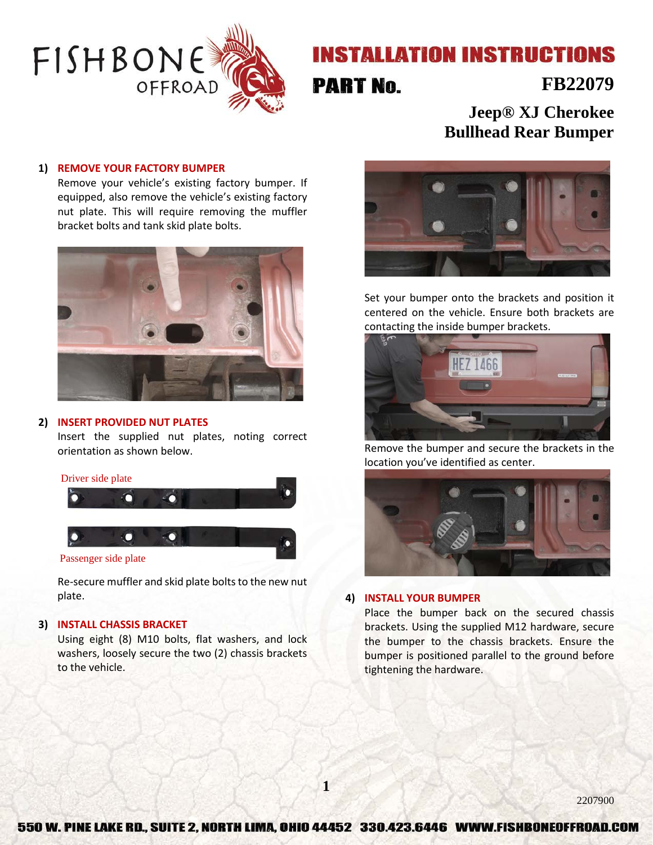

## **INSTALLATION INSTRUCTIONS**

## **PART No.**

### **FB22079**

**Jeep® XJ Cherokee Bullhead Rear Bumper**

#### **1) REMOVE YOUR FACTORY BUMPER**

Remove your vehicle's existing factory bumper. If equipped, also remove the vehicle's existing factory nut plate. This will require removing the muffler bracket bolts and tank skid plate bolts.



#### **2) INSERT PROVIDED NUT PLATES**

Insert the supplied nut plates, noting correct orientation as shown below.



Re-secure muffler and skid plate bolts to the new nut plate.

#### **3) INSTALL CHASSIS BRACKET**

Using eight (8) M10 bolts, flat washers, and lock washers, loosely secure the two (2) chassis brackets to the vehicle.



Set your bumper onto the brackets and position it centered on the vehicle. Ensure both brackets are contacting the inside bumper brackets.



Remove the bumper and secure the brackets in the location you've identified as center.



#### **4) INSTALL YOUR BUMPER**

Place the bumper back on the secured chassis brackets. Using the supplied M12 hardware, secure the bumper to the chassis brackets. Ensure the bumper is positioned parallel to the ground before tightening the hardware.

**1**